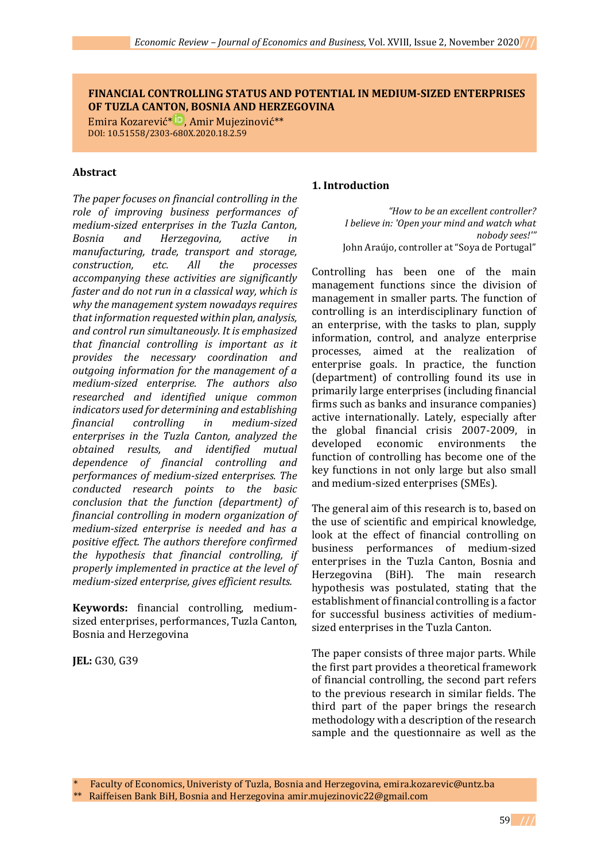### **FINANCIAL CONTROLLING STATUS AND POTENTIAL IN MEDIUM-SIZED ENTERPRISES OF TUZLA CANTON, BOSNIA AND HERZEGOVINA**

Emira Kozarević<sup>\* ID</sup>[,](https://orcid.org/0000-0002-5665-640X) Amir Mujezinović<sup>\*\*</sup> DOI: 10.51558/2303-680X.2020.18.2.59

### **Abstract**

*The paper focuses on financial controlling in the role of improving business performances of medium-sized enterprises in the Tuzla Canton, Bosnia and Herzegovina, active in manufacturing, trade, transport and storage, construction, etc. All the processes accompanying these activities are significantly faster and do not run in a classical way, which is why the management system nowadays requires that information requested within plan, analysis, and control run simultaneously. It is emphasized that financial controlling is important as it provides the necessary coordination and outgoing information for the management of a medium-sized enterprise. The authors also researched and identified unique common indicators used for determining and establishing financial controlling in medium-sized enterprises in the Tuzla Canton, analyzed the obtained results, and identified mutual dependence of financial controlling and performances of medium-sized enterprises. The conducted research points to the basic conclusion that the function (department) of financial controlling in modern organization of medium-sized enterprise is needed and has a positive effect. The authors therefore confirmed the hypothesis that financial controlling, if properly implemented in practice at the level of medium-sized enterprise, gives efficient results.*

**Keywords:** financial controlling, mediumsized enterprises, performances, Tuzla Canton, Bosnia and Herzegovina

**JEL:** G30, G39

#### **1. Introduction**

*"How to be an excellent controller? I believe in: 'Open your mind and watch what nobody sees!'"* John Araújo, controller at "Soya de Portugal"

Controlling has been one of the main management functions since the division of management in smaller parts. The function of controlling is an interdisciplinary function of an enterprise, with the tasks to plan, supply information, control, and analyze enterprise processes, aimed at the realization of enterprise goals. In practice, the function (department) of controlling found its use in primarily large enterprises (including financial firms such as banks and insurance companies) active internationally. Lately, especially after the global financial crisis 2007-2009, in developed economic environments the function of controlling has become one of the key functions in not only large but also small and medium-sized enterprises (SMEs).

The general aim of this research is to, based on the use of scientific and empirical knowledge, look at the effect of financial controlling on business performances of medium-sized enterprises in the Tuzla Canton, Bosnia and Herzegovina (BiH). The main research hypothesis was postulated, stating that the establishment of financial controlling is a factor for successful business activities of mediumsized enterprises in the Tuzla Canton.

The paper consists of three major parts. While the first part provides a theoretical framework of financial controlling, the second part refers to the previous research in similar fields. The third part of the paper brings the research methodology with a description of the research sample and the questionnaire as well as the

\* Faculty of Economics, Univeristy of Tuzla, Bosnia and Herzegovina, emira.kozarevic@untz.ba

<sup>\*\*</sup> Raiffeisen Bank BiH, Bosnia and Herzegovina amir.mujezinovic22@gmail.com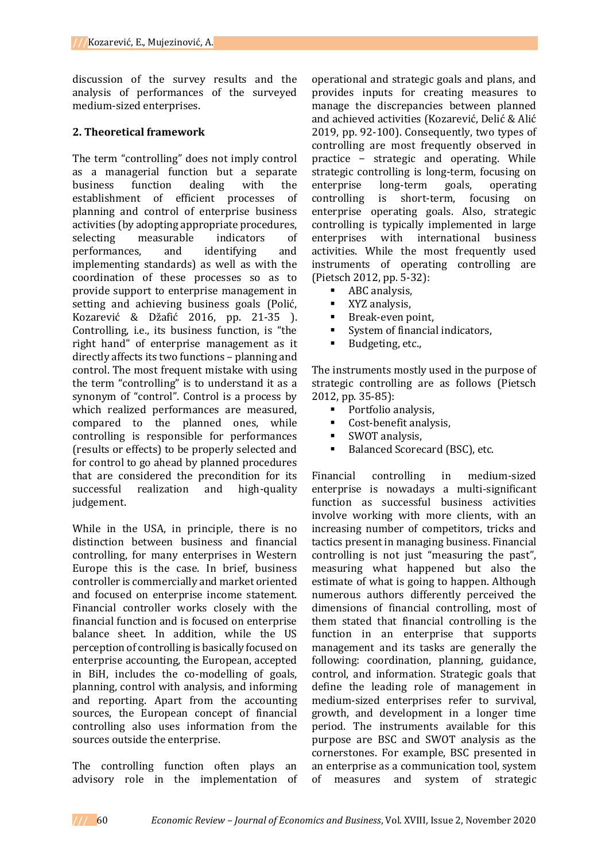discussion of the survey results and the analysis of performances of the surveyed medium-sized enterprises.

## **2. Theoretical framework**

The term "controlling" does not imply control as a managerial function but a separate business function dealing with the establishment of efficient processes of planning and control of enterprise business activities (by adopting appropriate procedures, selecting measurable indicators of performances, and identifying and implementing standards) as well as with the coordination of these processes so as to provide support to enterprise management in setting and achieving business goals (Polić, Kozarević & Džafić 2016, pp. 21-35 ). Controlling, i.e., its business function, is "the right hand" of enterprise management as it directly affects its two functions – planning and control. The most frequent mistake with using the term "controlling" is to understand it as a synonym of "control". Control is a process by which realized performances are measured, compared to the planned ones, while controlling is responsible for performances (results or effects) to be properly selected and for control to go ahead by planned procedures that are considered the precondition for its successful realization and high-quality judgement.

While in the USA, in principle, there is no distinction between business and financial controlling, for many enterprises in Western Europe this is the case. In brief, business controller is commercially and market oriented and focused on enterprise income statement. Financial controller works closely with the financial function and is focused on enterprise balance sheet. In addition, while the US perception of controlling is basically focused on enterprise accounting, the European, accepted in BiH, includes the co-modelling of goals, planning, control with analysis, and informing and reporting. Apart from the accounting sources, the European concept of financial controlling also uses information from the sources outside the enterprise.

The controlling function often plays an advisory role in the implementation of

operational and strategic goals and plans, and provides inputs for creating measures to manage the discrepancies between planned and achieved activities (Kozarević, Delić & Alić 2019, pp. 92-100). Consequently, two types of controlling are most frequently observed in practice − strategic and operating. While strategic controlling is long-term, focusing on enterprise long-term goals, operating controlling is short-term, focusing on enterprise operating goals. Also, strategic controlling is typically implemented in large enterprises with international business activities. While the most frequently used instruments of operating controlling are (Pietsch 2012, pp. 5-32):

- **ABC** analysis,
- **No. 3.5 x**YZ analysis.
- Break-even point,
- System of financial indicators,
- Budgeting, etc.,

The instruments mostly used in the purpose of strategic controlling are as follows (Pietsch 2012, pp. 35-85):

- Portfolio analysis,
- Cost-benefit analysis,
- SWOT analysis,
- Balanced Scorecard (BSC), etc.

Financial controlling in medium-sized enterprise is nowadays a multi-significant function as successful business activities involve working with more clients, with an increasing number of competitors, tricks and tactics present in managing business. Financial controlling is not just "measuring the past", measuring what happened but also the estimate of what is going to happen. Although numerous authors differently perceived the dimensions of financial controlling, most of them stated that financial controlling is the function in an enterprise that supports management and its tasks are generally the following: coordination, planning, guidance, control, and information. Strategic goals that define the leading role of management in medium-sized enterprises refer to survival, growth, and development in a longer time period. The instruments available for this purpose are BSC and SWOT analysis as the cornerstones. For example, BSC presented in an enterprise as a communication tool, system of measures and system of strategic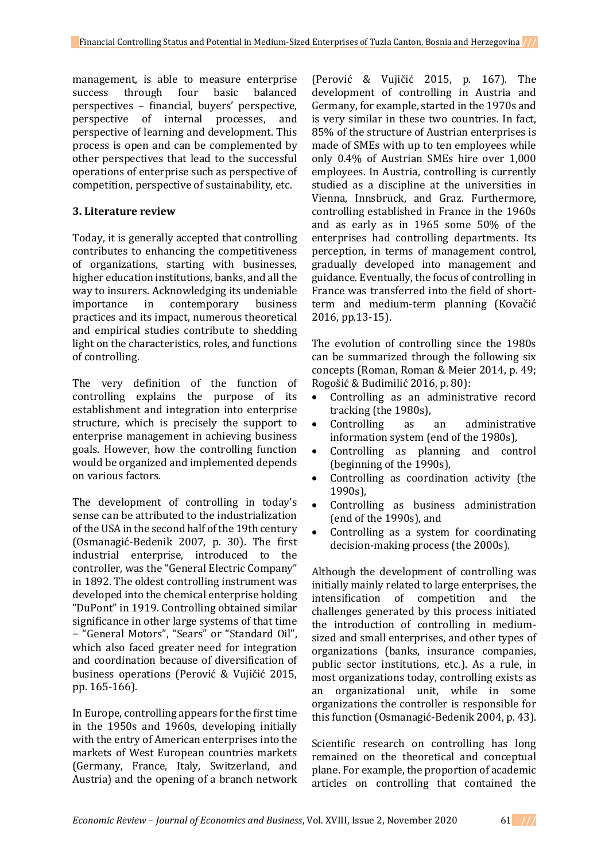management, is able to measure enterprise success through four basic balanced perspectives – financial, buyers' perspective, perspective of internal processes, and perspective of learning and development. This process is open and can be complemented by other perspectives that lead to the successful operations of enterprise such as perspective of competition, perspective of sustainability, etc.

## **3. Literature review**

Today, it is generally accepted that controlling contributes to enhancing the competitiveness of organizations, starting with businesses, higher education institutions, banks, and all the way to insurers. Acknowledging its undeniable importance in contemporary business practices and its impact, numerous theoretical and empirical studies contribute to shedding light on the characteristics, roles, and functions of controlling.

The very definition of the function of controlling explains the purpose of its establishment and integration into enterprise structure, which is precisely the support to enterprise management in achieving business goals. However, how the controlling function would be organized and implemented depends on various factors.

The development of controlling in today's sense can be attributed to the industrialization ofthe USA in the second half of the 19th century (Osmanagić-Bedenik 2007, p. 30). The first industrial enterprise, introduced to the controller, was the "General Electric Company" in 1892. The oldest controlling instrument was developed into the chemical enterprise holding "DuPont" in 1919. Controlling obtained similar significance in other large systems of that time − "General Motors", "Sears" or "Standard Oil", which also faced greater need for integration and coordination because of diversification of business operations (Perović & Vujičić 2015, pp. 165-166).

In Europe, controlling appears for the first time in the 1950s and 1960s, developing initially with the entry of American enterprises into the markets of West European countries markets (Germany, France, Italy, Switzerland, and Austria) and the opening of a branch network

(Perović & Vujičić 2015, p. 167). The development of controlling in Austria and Germany, for example, started in the 1970s and is very similar in these two countries. In fact, 85% of the structure of Austrian enterprises is made of SMEs with up to ten employees while only 0.4% of Austrian SMEs hire over 1,000 employees. In Austria, controlling is currently studied as a discipline at the universities in Vienna, Innsbruck, and Graz. Furthermore, controlling established in France in the 1960s and as early as in 1965 some 50% of the enterprises had controlling departments. Its perception, in terms of management control, gradually developed into management and guidance. Eventually, the focus of controlling in France was transferred into the field of shortterm and medium-term planning (Kovačić 2016, pp.13-15).

The evolution of controlling since the 1980s can be summarized through the following six concepts (Roman, Roman & Meier 2014, p. 49; Rogošić & Budimilić 2016, p. 80):

- Controlling as an administrative record tracking (the 1980s),
- Controlling as an administrative information system (end of the 1980s),
- Controlling as planning and control (beginning of the 1990s),
- Controlling as coordination activity (the 1990s),
- Controlling as business administration (end of the 1990s), and
- Controlling as a system for coordinating decision-making process (the 2000s).

Although the development of controlling was initially mainly related to large enterprises, the intensification of competition and the challenges generated by this process initiated the introduction of controlling in mediumsized and small enterprises, and other types of organizations (banks, insurance companies, public sector institutions, etc.). As a rule, in most organizations today, controlling exists as an organizational unit, while in some organizations the controller is responsible for this function (Osmanagić-Bedenik 2004, p. 43).

Scientific research on controlling has long remained on the theoretical and conceptual plane. For example, the proportion of academic articles on controlling that contained the

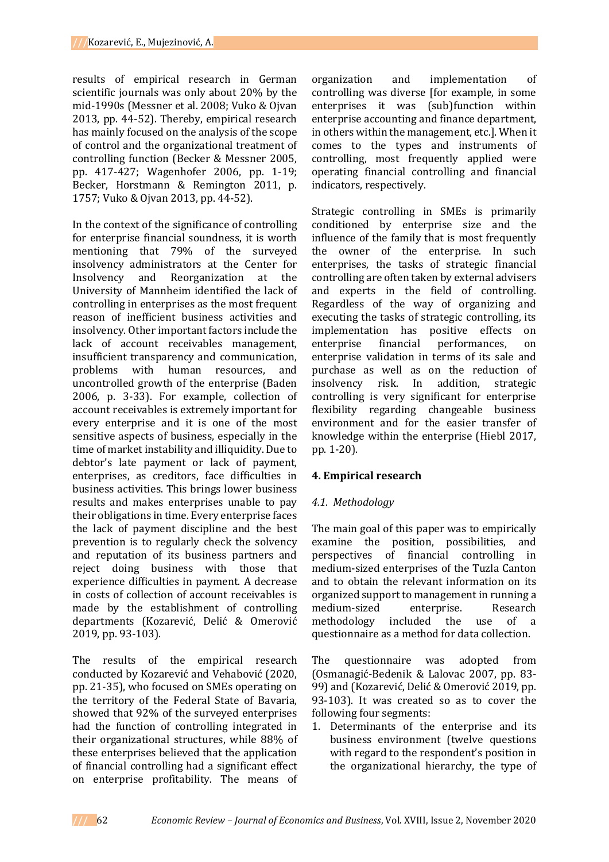results of empirical research in German scientific journals was only about 20% by the mid-1990s (Messner et al. 2008; Vuko & Ojvan 2013, pp. 44-52). Thereby, empirical research has mainly focused on the analysis of the scope of control and the organizational treatment of controlling function (Becker & Messner 2005, pp. 417-427; Wagenhofer 2006, pp. 1-19; Becker, Horstmann & Remington 2011, p. 1757; Vuko & Ojvan 2013, pp. 44-52).

In the context of the significance of controlling for enterprise financial soundness, it is worth mentioning that 79% of the surveyed insolvency administrators at the Center for Insolvency and Reorganization at the University of Mannheim identified the lack of controlling in enterprises as the most frequent reason of inefficient business activities and insolvency. Other important factors include the lack of account receivables management, insufficient transparency and communication, problems with human resources, and uncontrolled growth of the enterprise (Baden 2006, p. 3-33). For example, collection of account receivables is extremely important for every enterprise and it is one of the most sensitive aspects of business, especially in the time of market instability and illiquidity. Due to debtor's late payment or lack of payment, enterprises, as creditors, face difficulties in business activities. This brings lower business results and makes enterprises unable to pay their obligations in time. Every enterprise faces the lack of payment discipline and the best prevention is to regularly check the solvency and reputation of its business partners and reject doing business with those that experience difficulties in payment. A decrease in costs of collection of account receivables is made by the establishment of controlling departments (Kozarević, Delić & Omerović 2019, pp. 93-103).

The results of the empirical research conducted by Kozarević and Vehabović (2020, pp. 21-35), who focused on SMEs operating on the territory of the Federal State of Bavaria, showed that 92% of the surveyed enterprises had the function of controlling integrated in their organizational structures, while 88% of these enterprises believed that the application of financial controlling had a significant effect on enterprise profitability. The means of

organization and implementation of controlling was diverse [for example, in some enterprises it was (sub)function within enterprise accounting and finance department, in others within the management, etc.]. When it comes to the types and instruments of controlling, most frequently applied were operating financial controlling and financial indicators, respectively.

Strategic controlling in SMEs is primarily conditioned by enterprise size and the influence of the family that is most frequently the owner of the enterprise. In such enterprises, the tasks of strategic financial controlling are often taken by external advisers and experts in the field of controlling. Regardless of the way of organizing and executing the tasks of strategic controlling, its implementation has positive effects on enterprise financial performances, on enterprise validation in terms of its sale and purchase as well as on the reduction of insolvency risk. In addition, strategic controlling is very significant for enterprise flexibility regarding changeable business environment and for the easier transfer of knowledge within the enterprise (Hiebl 2017, pp. 1-20).

# **4. Empirical research**

# *4.1. Methodology*

The main goal of this paper was to empirically examine the position, possibilities, and perspectives of financial controlling in medium-sized enterprises of the Tuzla Canton and to obtain the relevant information on its organized support to management in running a medium-sized enterprise. Research methodology included the use of a questionnaire as a method for data collection.

The questionnaire was adopted from (Osmanagić-Bedenik & Lalovac 2007, pp. 83- 99) and (Kozarević, Delić & Omerović 2019, pp. 93-103). It was created so as to cover the following four segments:

1. Determinants of the enterprise and its business environment (twelve questions with regard to the respondent's position in the organizational hierarchy, the type of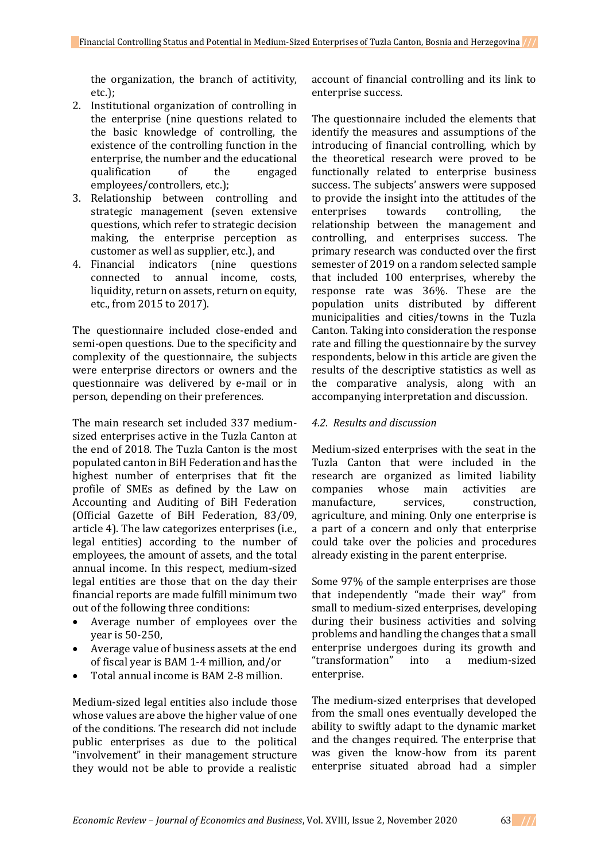the organization, the branch of actitivity, etc.);

- 2. Institutional organization of controlling in the enterprise (nine questions related to the basic knowledge of controlling, the existence of the controlling function in the enterprise, the number and the educational qualification of the engaged employees/controllers, etc.);
- 3. Relationship between controlling and strategic management (seven extensive questions, which refer to strategic decision making, the enterprise perception as customer as well as supplier, etc.), and
- 4. Financial indicators (nine questions connected to annual income, costs, liquidity, return on assets, return on equity, etc., from 2015 to 2017).

The questionnaire included close-ended and semi-open questions. Due to the specificity and complexity of the questionnaire, the subjects were enterprise directors or owners and the questionnaire was delivered by e-mail or in person, depending on their preferences.

The main research set included 337 mediumsized enterprises active in the Tuzla Canton at the end of 2018. The Tuzla Canton is the most populated canton in BiH Federation and has the highest number of enterprises that fit the profile of SMEs as defined by the Law on Accounting and Auditing of BiH Federation (Official Gazette of BiH Federation, 83/09, article 4). The law categorizes enterprises (i.e., legal entities) according to the number of employees, the amount of assets, and the total annual income. In this respect, medium-sized legal entities are those that on the day their financial reports are made fulfill minimum two out of the following three conditions:

- Average number of employees over the year is 50-250,
- Average value of business assets at the end of fiscal year is BAM 1-4 million, and/or
- Total annual income is BAM 2-8 million.

Medium-sized legal entities also include those whose values are above the higher value of one of the conditions. The research did not include public enterprises as due to the political "involvement" in their management structure they would not be able to provide a realistic account of financial controlling and its link to enterprise success.

The questionnaire included the elements that identify the measures and assumptions of the introducing of financial controlling, which by the theoretical research were proved to be functionally related to enterprise business success. The subjects' answers were supposed to provide the insight into the attitudes of the enterprises towards controlling, the relationship between the management and controlling, and enterprises success. The primary research was conducted over the first semester of 2019 on a random selected sample that included 100 enterprises, whereby the response rate was 36%. These are the population units distributed by different municipalities and cities/towns in the Tuzla Canton. Taking into consideration the response rate and filling the questionnaire by the survey respondents, below in this article are given the results of the descriptive statistics as well as the comparative analysis, along with an accompanying interpretation and discussion.

## *4.2. Results and discussion*

Medium-sized enterprises with the seat in the Tuzla Canton that were included in the research are organized as limited liability companies whose main activities are manufacture, services, construction, agriculture, and mining. Only one enterprise is a part of a concern and only that enterprise could take over the policies and procedures already existing in the parent enterprise.

Some 97% of the sample enterprises are those that independently "made their way" from small to medium-sized enterprises, developing during their business activities and solving problems and handling the changes that a small enterprise undergoes during its growth and "transformation" into a medium-sized enterprise.

The medium-sized enterprises that developed from the small ones eventually developed the ability to swiftly adapt to the dynamic market and the changes required. The enterprise that was given the know-how from its parent enterprise situated abroad had a simpler

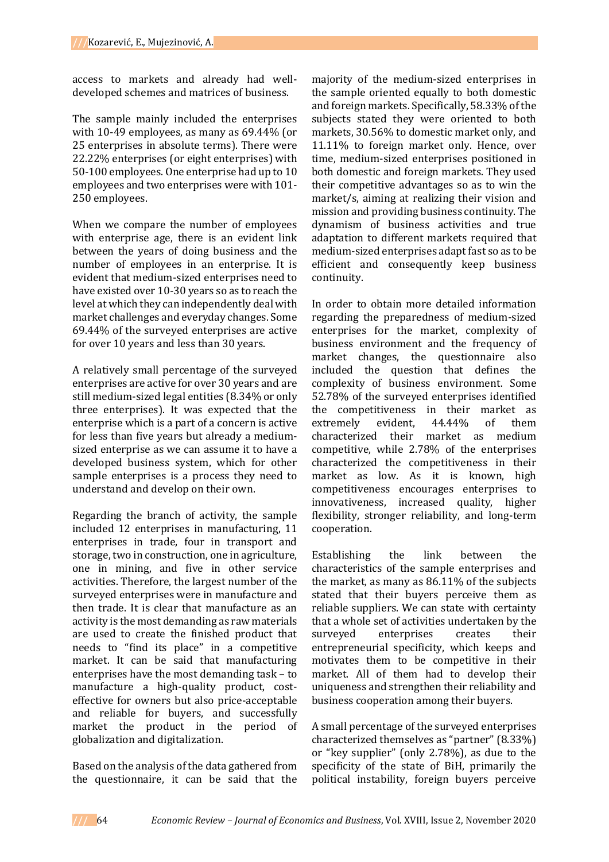access to markets and already had welldeveloped schemes and matrices of business.

The sample mainly included the enterprises with 10-49 employees, as many as 69.44% (or 25 enterprises in absolute terms). There were 22.22% enterprises (or eight enterprises) with 50-100 employees. One enterprise had up to 10 employees and two enterprises were with 101- 250 employees.

When we compare the number of employees with enterprise age, there is an evident link between the years of doing business and the number of employees in an enterprise. It is evident that medium-sized enterprises need to have existed over 10-30 years so as to reach the level at which they can independently deal with market challenges and everyday changes. Some 69.44% of the surveyed enterprises are active for over 10 years and less than 30 years.

A relatively small percentage of the surveyed enterprises are active for over 30 years and are still medium-sized legal entities (8.34% or only three enterprises). It was expected that the enterprise which is a part of a concern is active for less than five years but already a mediumsized enterprise as we can assume it to have a developed business system, which for other sample enterprises is a process they need to understand and develop on their own.

Regarding the branch of activity, the sample included 12 enterprises in manufacturing, 11 enterprises in trade, four in transport and storage, two in construction, one in agriculture, one in mining, and five in other service activities. Therefore, the largest number of the surveyed enterprises were in manufacture and then trade. It is clear that manufacture as an activity is the most demanding as raw materials are used to create the finished product that needs to "find its place" in a competitive market. It can be said that manufacturing enterprises have the most demanding task – to manufacture a high-quality product, costeffective for owners but also price-acceptable and reliable for buyers, and successfully market the product in the period of globalization and digitalization.

Based on the analysis of the data gathered from the questionnaire, it can be said that the

majority of the medium-sized enterprises in the sample oriented equally to both domestic and foreign markets. Specifically, 58.33% of the subjects stated they were oriented to both markets, 30.56% to domestic market only, and 11.11% to foreign market only. Hence, over time, medium-sized enterprises positioned in both domestic and foreign markets. They used their competitive advantages so as to win the market/s, aiming at realizing their vision and mission and providing business continuity. The dynamism of business activities and true adaptation to different markets required that medium-sized enterprises adapt fast so as to be efficient and consequently keep business continuity.

In order to obtain more detailed information regarding the preparedness of medium-sized enterprises for the market, complexity of business environment and the frequency of market changes, the questionnaire also included the question that defines the complexity of business environment. Some 52.78% of the surveyed enterprises identified the competitiveness in their market as extremely evident, 44.44% of them characterized their market as medium competitive, while 2.78% of the enterprises characterized the competitiveness in their market as low. As it is known, high competitiveness encourages enterprises to innovativeness, increased quality, higher flexibility, stronger reliability, and long-term cooperation.

Establishing the link between the characteristics of the sample enterprises and the market, as many as 86.11% of the subjects stated that their buyers perceive them as reliable suppliers. We can state with certainty that a whole set of activities undertaken by the surveyed enterprises creates their entrepreneurial specificity, which keeps and motivates them to be competitive in their market. All of them had to develop their uniqueness and strengthen their reliability and business cooperation among their buyers.

A small percentage of the surveyed enterprises characterized themselves as "partner" (8.33%) or "key supplier" (only 2.78%), as due to the specificity of the state of BiH, primarily the political instability, foreign buyers perceive

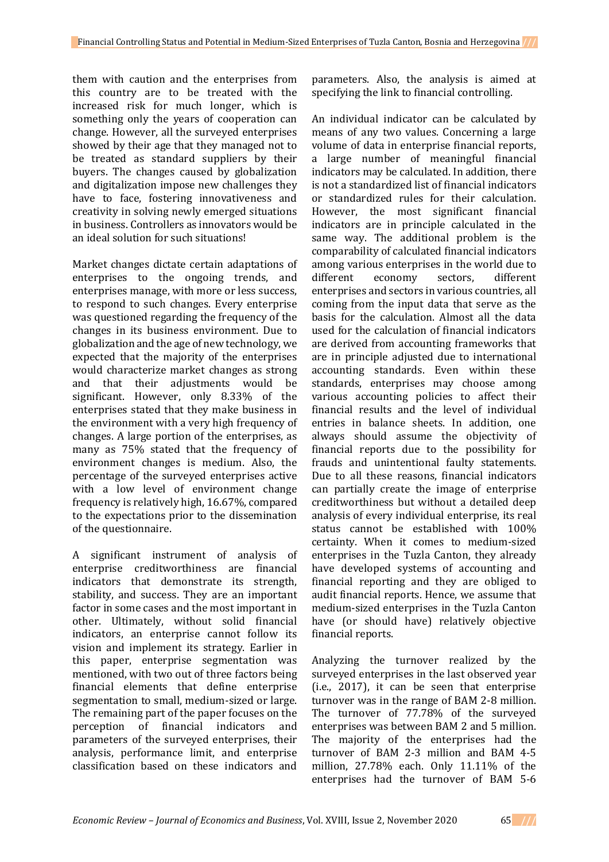them with caution and the enterprises from this country are to be treated with the increased risk for much longer, which is something only the years of cooperation can change. However, all the surveyed enterprises showed by their age that they managed not to be treated as standard suppliers by their buyers. The changes caused by globalization and digitalization impose new challenges they have to face, fostering innovativeness and creativity in solving newly emerged situations in business. Controllers as innovators would be an ideal solution for such situations!

Market changes dictate certain adaptations of enterprises to the ongoing trends, and enterprises manage, with more or less success, to respond to such changes. Every enterprise was questioned regarding the frequency of the changes in its business environment. Due to globalization and the age of new technology, we expected that the majority of the enterprises would characterize market changes as strong and that their adjustments would be significant. However, only 8.33% of the enterprises stated that they make business in the environment with a very high frequency of changes. A large portion of the enterprises, as many as 75% stated that the frequency of environment changes is medium. Also, the percentage of the surveyed enterprises active with a low level of environment change frequency is relatively high, 16.67%, compared to the expectations prior to the dissemination of the questionnaire.

A significant instrument of analysis of enterprise creditworthiness are financial indicators that demonstrate its strength, stability, and success. They are an important factor in some cases and the most important in other. Ultimately, without solid financial indicators, an enterprise cannot follow its vision and implement its strategy. Earlier in this paper, enterprise segmentation was mentioned, with two out of three factors being financial elements that define enterprise segmentation to small, medium-sized or large. The remaining part of the paper focuses on the perception of financial indicators and parameters of the surveyed enterprises, their analysis, performance limit, and enterprise classification based on these indicators and

parameters. Also, the analysis is aimed at specifying the link to financial controlling.

An individual indicator can be calculated by means of any two values. Concerning a large volume of data in enterprise financial reports, a large number of meaningful financial indicators may be calculated. In addition, there is not a standardized list of financial indicators or standardized rules for their calculation. However, the most significant financial indicators are in principle calculated in the same way. The additional problem is the comparability of calculated financial indicators among various enterprises in the world due to different economy sectors, different enterprises and sectors in various countries, all coming from the input data that serve as the basis for the calculation. Almost all the data used for the calculation of financial indicators are derived from accounting frameworks that are in principle adjusted due to international accounting standards. Even within these standards, enterprises may choose among various accounting policies to affect their financial results and the level of individual entries in balance sheets. In addition, one always should assume the objectivity of financial reports due to the possibility for frauds and unintentional faulty statements. Due to all these reasons, financial indicators can partially create the image of enterprise creditworthiness but without a detailed deep analysis of every individual enterprise, its real status cannot be established with 100% certainty. When it comes to medium-sized enterprises in the Tuzla Canton, they already have developed systems of accounting and financial reporting and they are obliged to audit financial reports. Hence, we assume that medium-sized enterprises in the Tuzla Canton have (or should have) relatively objective financial reports.

Analyzing the turnover realized by the surveyed enterprises in the last observed year (i.e., 2017), it can be seen that enterprise turnover was in the range of BAM 2-8 million. The turnover of 77.78% of the surveyed enterprises was between BAM 2 and 5 million. The majority of the enterprises had the turnover of BAM 2-3 million and BAM 4-5 million, 27.78% each. Only 11.11% of the enterprises had the turnover of BAM 5-6

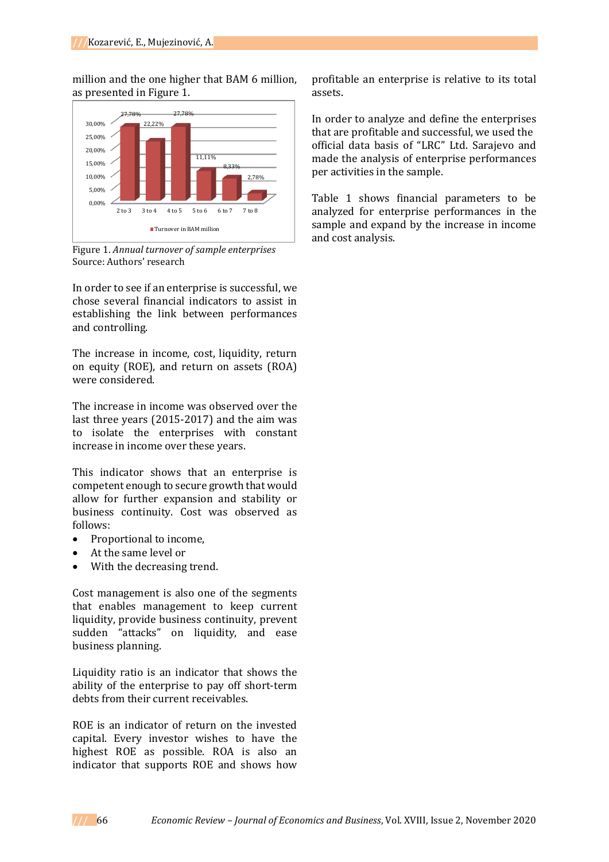million and the one higher that BAM 6 million, as presented in Figure 1.



Figure 1. *Annual turnover of sample enterprises* Source: Authors' research

In order to see if an enterprise is successful, we chose several financial indicators to assist in establishing the link between performances and controlling.

The increase in income, cost, liquidity, return on equity (ROE), and return on assets (ROA) were considered.

The increase in income was observed over the last three years (2015-2017) and the aim was to isolate the enterprises with constant increase in income over these years.

This indicator shows that an enterprise is competent enough to secure growth that would allow for further expansion and stability or business continuity. Cost was observed as follows:

- Proportional to income.
- At the same level or
- With the decreasing trend.

Cost management is also one of the segments that enables management to keep current liquidity, provide business continuity, prevent sudden "attacks" on liquidity, and ease business planning.

Liquidity ratio is an indicator that shows the ability of the enterprise to pay off short-term debts from their current receivables.

ROE is an indicator of return on the invested capital. Every investor wishes to have the highest ROE as possible. ROA is also an indicator that supports ROE and shows how

profitable an enterprise is relative to its total assets.

In order to analyze and define the enterprises that are profitable and successful, we used the official data basis of "LRC" Ltd. Sarajevo and made the analysis of enterprise performances per activities in the sample.

Table 1 shows financial parameters to be analyzed for enterprise performances in the sample and expand by the increase in income and cost analysis.

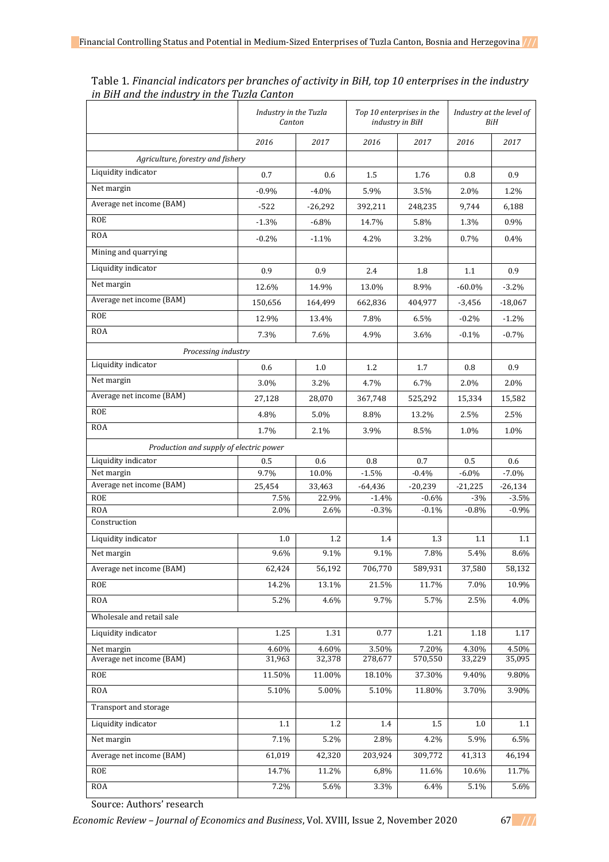|                                         |             | Industry in the Tuzla<br>Canton |             | Top 10 enterprises in the<br>industry in BiH |             | Industry at the level of<br>BiH |  |
|-----------------------------------------|-------------|---------------------------------|-------------|----------------------------------------------|-------------|---------------------------------|--|
|                                         | 2016        | 2017                            | 2016        | 2017                                         | 2016        | 2017                            |  |
| Agriculture, forestry and fishery       |             |                                 |             |                                              |             |                                 |  |
| Liquidity indicator                     | 0.7         | 0.6                             | 1.5         | 1.76                                         | 0.8         | 0.9                             |  |
| Net margin                              | $-0.9%$     | $-4.0\%$                        | 5.9%        | 3.5%                                         | 2.0%        | 1.2%                            |  |
| Average net income (BAM)                | $-522$      | $-26,292$                       | 392,211     | 248,235                                      | 9,744       | 6,188                           |  |
| <b>ROE</b>                              | $-1.3%$     | $-6.8\%$                        | 14.7%       | 5.8%                                         | 1.3%        | $0.9\%$                         |  |
| <b>ROA</b>                              | $-0.2\%$    | $-1.1%$                         | 4.2%        | 3.2%                                         | 0.7%        | 0.4%                            |  |
| Mining and quarrying                    |             |                                 |             |                                              |             |                                 |  |
| Liquidity indicator                     |             | 0.9                             | 2.4         |                                              |             | 0.9                             |  |
| Net margin                              | 0.9         |                                 |             | 1.8                                          | 1.1         |                                 |  |
| Average net income (BAM)                | 12.6%       | 14.9%                           | 13.0%       | 8.9%                                         | $-60.0\%$   | $-3.2\%$                        |  |
| <b>ROE</b>                              | 150,656     | 164,499                         | 662,836     | 404,977                                      | $-3,456$    | $-18,067$                       |  |
| <b>ROA</b>                              | 12.9%       | 13.4%                           | 7.8%        | 6.5%                                         | $-0.2%$     | $-1.2%$                         |  |
|                                         | 7.3%        | 7.6%                            | 4.9%        | 3.6%                                         | $-0.1%$     | $-0.7%$                         |  |
| Processing industry                     |             |                                 |             |                                              |             |                                 |  |
| Liquidity indicator                     | 0.6         | 1.0                             | 1.2         | 1.7                                          | 0.8         | 0.9                             |  |
| Net margin                              | 3.0%        | 3.2%                            | 4.7%        | 6.7%                                         | 2.0%        | 2.0%                            |  |
| Average net income (BAM)                | 27,128      | 28,070                          | 367,748     | 525,292                                      | 15,334      | 15,582                          |  |
| <b>ROE</b>                              | 4.8%        | 5.0%                            | 8.8%        | 13.2%                                        | 2.5%        | 2.5%                            |  |
| <b>ROA</b>                              | 1.7%        | 2.1%                            | 3.9%        | 8.5%                                         | 1.0%        | 1.0%                            |  |
| Production and supply of electric power |             |                                 |             |                                              |             |                                 |  |
| Liquidity indicator                     | 0.5         | 0.6                             | 0.8         | 0.7                                          | 0.5         | 0.6                             |  |
| Net margin                              | 9.7%        | 10.0%                           | $-1.5%$     | $-0.4%$                                      | $-6.0\%$    | $-7.0%$                         |  |
| Average net income (BAM)                | 25,454      | 33,463                          | $-64,436$   | $-20,239$                                    | $-21,225$   | $-26,134$                       |  |
| <b>ROE</b>                              | 7.5%        | 22.9%                           | $-1.4%$     | $-0.6%$                                      | $-3%$       | $-3.5%$                         |  |
| <b>ROA</b><br>Construction              | 2.0%        | 2.6%                            | $-0.3%$     | $-0.1%$                                      | $-0.8%$     | $-0.9%$                         |  |
|                                         |             |                                 |             |                                              |             |                                 |  |
| Liquidity indicator<br>Net margin       | 1.0<br>9.6% | 1.2<br>9.1%                     | 1.4<br>9.1% | 1.3<br>7.8%                                  | 1.1<br>5.4% | 1.1<br>8.6%                     |  |
| Average net income (BAM)                |             |                                 |             |                                              |             |                                 |  |
|                                         | 62,424      | 56,192                          | 706,770     | 589,931                                      | 37,580      | 58,132                          |  |
| <b>ROE</b>                              | 14.2%       | 13.1%                           | 21.5%       | 11.7%                                        | 7.0%        | 10.9%                           |  |
| <b>ROA</b>                              | 5.2%        | 4.6%                            | 9.7%        | 5.7%                                         | 2.5%        | 4.0%                            |  |
| Wholesale and retail sale               |             |                                 |             |                                              |             |                                 |  |
| Liquidity indicator                     | 1.25        | 1.31                            | 0.77        | 1.21                                         | 1.18        | 1.17                            |  |
| Net margin<br>Average net income (BAM)  | 4.60%       | 4.60%                           | 3.50%       | 7.20%                                        | 4.30%       | 4.50%<br>35,095                 |  |
|                                         | 31,963      | 32,378                          | 278,677     | 570,550                                      | 33,229      |                                 |  |
| <b>ROE</b>                              | 11.50%      | 11.00%                          | 18.10%      | 37.30%                                       | 9.40%       | 9.80%                           |  |
| <b>ROA</b>                              | 5.10%       | 5.00%                           | 5.10%       | 11.80%                                       | 3.70%       | 3.90%                           |  |
| Transport and storage                   |             |                                 |             |                                              |             |                                 |  |
| Liquidity indicator                     | 1.1         | 1.2                             | 1.4         | $1.5\,$                                      | $1.0\,$     | 1.1                             |  |
| Net margin                              | 7.1%        | 5.2%                            | 2.8%        | 4.2%                                         | 5.9%        | 6.5%                            |  |
| Average net income (BAM)                | 61,019      | 42,320                          | 203,924     | 309,772                                      | 41,313      | 46,194                          |  |
| ROE                                     | 14.7%       | 11.2%                           | 6,8%        | 11.6%                                        | 10.6%       | 11.7%                           |  |
| <b>ROA</b>                              | 7.2%        | 5.6%                            | 3.3%        | 6.4%                                         | 5.1%        | 5.6%                            |  |

Table 1. *Financial indicators per branches of activity in BiH, top 10 enterprises in the industry in BiH and the industry in the Tuzla Canton*

Source: Authors' research

*Economic Review – Journal of Economics and Business*, Vol. XVIII, Issue 2, November 2020 67 **///**

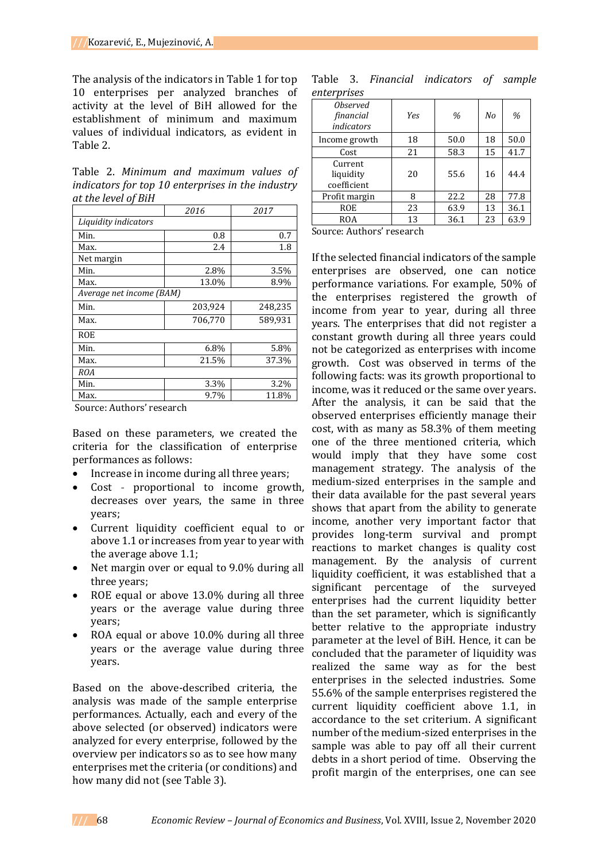The analysis of the indicators in Table 1 for top 10 enterprises per analyzed branches of activity at the level of BiH allowed for the establishment of minimum and maximum values of individual indicators, as evident in Table 2.

Table 2. *Minimum and maximum values of indicators for top 10 enterprises in the industry at the level of BiH*

|                          | 2016    | 2017    |  |  |  |
|--------------------------|---------|---------|--|--|--|
| Liquidity indicators     |         |         |  |  |  |
| Min.                     | 0.8     | 0.7     |  |  |  |
| Max.                     | 2.4     | 1.8     |  |  |  |
| Net margin               |         |         |  |  |  |
| Min.                     | 2.8%    | 3.5%    |  |  |  |
| Max.                     | 13.0%   | 8.9%    |  |  |  |
| Average net income (BAM) |         |         |  |  |  |
| Min.                     | 203,924 | 248,235 |  |  |  |
| Max.                     | 706,770 | 589,931 |  |  |  |
| <b>ROE</b>               |         |         |  |  |  |
| Min.                     | 6.8%    | 5.8%    |  |  |  |
| Max.                     | 21.5%   | 37.3%   |  |  |  |
| <b>ROA</b>               |         |         |  |  |  |
| Min.                     | 3.3%    | 3.2%    |  |  |  |
| Max.                     | 9.7%    | 11.8%   |  |  |  |

Source: Authors' research

Based on these parameters, we created the criteria for the classification of enterprise performances as follows:

- Increase in income during all three years;
- Cost proportional to income growth, decreases over years, the same in three years;
- Current liquidity coefficient equal to or above 1.1 or increases from year to year with the average above 1.1;
- Net margin over or equal to 9.0% during all three years;
- ROE equal or above 13.0% during all three years or the average value during three years;
- ROA equal or above 10.0% during all three years or the average value during three years.

Based on the above-described criteria, the analysis was made of the sample enterprise performances. Actually, each and every of the above selected (or observed) indicators were analyzed for every enterprise, followed by the overview per indicators so as to see how many enterprises met the criteria (or conditions) and how many did not (see Table 3).

|             |  | Table 3. Financial indicators of sample |  |
|-------------|--|-----------------------------------------|--|
| enterprises |  |                                         |  |

| <i><b>Observed</b></i><br>financial<br>indicators | Yes          | %    | No | %    |
|---------------------------------------------------|--------------|------|----|------|
| Income growth                                     | 18           | 50.0 | 18 | 50.0 |
| Cost                                              | 21           | 58.3 | 15 | 41.7 |
| Current<br>liquidity<br>coefficient               | 20           | 55.6 | 16 | 44.4 |
| Profit margin                                     | 8            | 22.2 | 28 | 77.8 |
| ROE                                               | 23           | 63.9 | 13 | 36.1 |
| <b>ROA</b>                                        | 13           | 36.1 | 23 | 63.9 |
| $\sqrt{2}$<br>$\cdots$                            | $\mathbf{r}$ |      |    |      |

Source: Authors' research

If the selected financial indicators of the sample enterprises are observed, one can notice performance variations. For example, 50% of the enterprises registered the growth of income from year to year, during all three years. The enterprises that did not register a constant growth during all three years could not be categorized as enterprises with income growth. Cost was observed in terms of the following facts: was its growth proportional to income, was it reduced or the same over years. After the analysis, it can be said that the observed enterprises efficiently manage their cost, with as many as 58.3% of them meeting one of the three mentioned criteria, which would imply that they have some cost management strategy. The analysis of the medium-sized enterprises in the sample and their data available for the past several years shows that apart from the ability to generate income, another very important factor that provides long-term survival and prompt reactions to market changes is quality cost management. By the analysis of current liquidity coefficient, it was established that a significant percentage of the surveyed enterprises had the current liquidity better than the set parameter, which is significantly better relative to the appropriate industry parameter at the level of BiH. Hence, it can be concluded that the parameter of liquidity was realized the same way as for the best enterprises in the selected industries. Some 55.6% of the sample enterprises registered the current liquidity coefficient above 1.1, in accordance to the set criterium. A significant number of the medium-sized enterprises in the sample was able to pay off all their current debts in a short period of time. Observing the profit margin of the enterprises, one can see

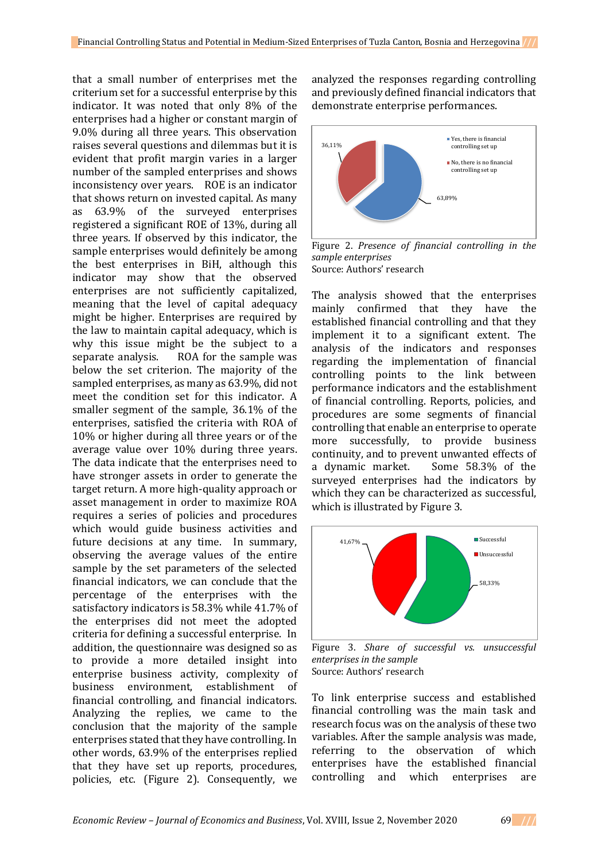that a small number of enterprises met the criterium set for a successful enterprise by this indicator. It was noted that only 8% of the enterprises had a higher or constant margin of 9.0% during all three years. This observation raises several questions and dilemmas but it is evident that profit margin varies in a larger number of the sampled enterprises and shows inconsistency over years. ROE is an indicator that shows return on invested capital. As many as 63.9% of the surveyed enterprises registered a significant ROE of 13%, during all three years. If observed by this indicator, the sample enterprises would definitely be among the best enterprises in BiH, although this indicator may show that the observed enterprises are not sufficiently capitalized, meaning that the level of capital adequacy might be higher. Enterprises are required by the law to maintain capital adequacy, which is why this issue might be the subject to a separate analysis. ROA for the sample was below the set criterion. The majority of the sampled enterprises, as many as 63.9%, did not meet the condition set for this indicator. A smaller segment of the sample, 36.1% of the enterprises, satisfied the criteria with ROA of 10% or higher during all three years or of the average value over 10% during three years. The data indicate that the enterprises need to have stronger assets in order to generate the target return. A more high-quality approach or asset management in order to maximize ROA requires a series of policies and procedures which would guide business activities and future decisions at any time. In summary, observing the average values of the entire sample by the set parameters of the selected financial indicators, we can conclude that the percentage of the enterprises with the satisfactory indicators is 58.3% while 41.7% of the enterprises did not meet the adopted criteria for defining a successful enterprise. In addition, the questionnaire was designed so as to provide a more detailed insight into enterprise business activity, complexity of business environment, establishment of financial controlling, and financial indicators. Analyzing the replies, we came to the conclusion that the majority of the sample enterprises stated that they have controlling. In other words, 63.9% of the enterprises replied that they have set up reports, procedures, policies, etc. (Figure 2). Consequently, we

analyzed the responses regarding controlling and previously defined financial indicators that demonstrate enterprise performances.



Figure 2. *Presence of financial controlling in the sample enterprises* Source: Authors' research

The analysis showed that the enterprises mainly confirmed that they have the established financial controlling and that they implement it to a significant extent. The analysis of the indicators and responses regarding the implementation of financial controlling points to the link between performance indicators and the establishment of financial controlling. Reports, policies, and procedures are some segments of financial controlling that enable an enterprise to operate more successfully, to provide business continuity, and to prevent unwanted effects of a dynamic market. Some 58.3% of the surveyed enterprises had the indicators by which they can be characterized as successful, which is illustrated by Figure 3.



Figure 3. *Share of successful vs. unsuccessful enterprises in the sample* Source: Authors' research

To link enterprise success and established financial controlling was the main task and research focus was on the analysis of these two variables. After the sample analysis was made, referring to the observation of which enterprises have the established financial controlling and which enterprises are

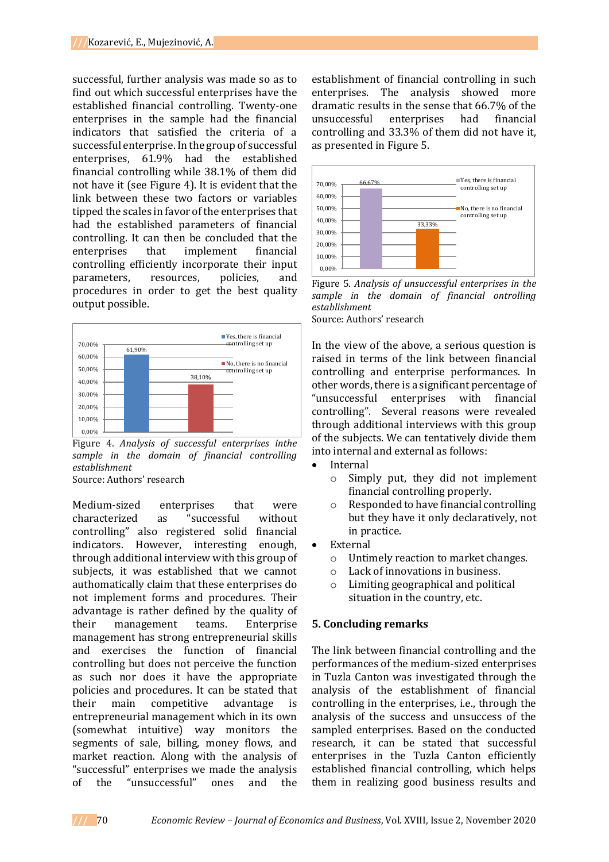successful, further analysis was made so as to find out which successful enterprises have the established financial controlling. Twenty-one enterprises in the sample had the financial indicators that satisfied the criteria of a successful enterprise. In the group of successful enterprises, 61.9% had the established financial controlling while 38.1% of them did not have it (see Figure 4). It is evident that the link between these two factors or variables tipped the scales in favor of the enterprises that had the established parameters of financial controlling. It can then be concluded that the enterprises that implement financial controlling efficiently incorporate their input parameters, resources, policies, and procedures in order to get the best quality output possible.



Figure 4. *Analysis of successful enterprises inthe sample in the domain of financial controlling establishment* Source: Authors' research

Medium-sized enterprises that were characterized as "successful without controlling" also registered solid financial indicators. However, interesting enough, through additional interview with this group of subjects, it was established that we cannot authomatically claim that these enterprises do not implement forms and procedures. Their advantage is rather defined by the quality of their management teams. Enterprise management has strong entrepreneurial skills and exercises the function of financial controlling but does not perceive the function as such nor does it have the appropriate policies and procedures. It can be stated that their main competitive advantage is entrepreneurial management which in its own (somewhat intuitive) way monitors the segments of sale, billing, money flows, and market reaction. Along with the analysis of "successful" enterprises we made the analysis of the "unsuccessful" ones and the

establishment of financial controlling in such enterprises. The analysis showed more dramatic results in the sense that 66.7% of the unsuccessful enterprises had financial controlling and 33.3% of them did not have it, as presented in Figure 5.



Figure 5. *Analysis of unsuccessful enterprises in the sample in the domain of financial ontrolling establishment* Source: Authors' research

In the view of the above, a serious question is raised in terms of the link between financial controlling and enterprise performances. In other words, there is a significant percentage of "unsuccessful enterprises with financial controlling". Several reasons were revealed through additional interviews with this group of the subjects. We can tentatively divide them into internal and external as follows:

- Internal
	- o Simply put, they did not implement financial controlling properly.
	- o Responded to have financial controlling but they have it only declaratively, not in practice.
- External
	- o Untimely reaction to market changes.
	- o Lack of innovations in business.
	- o Limiting geographical and political situation in the country, etc.

### **5. Concluding remarks**

The link between financial controlling and the performances of the medium-sized enterprises in Tuzla Canton was investigated through the analysis of the establishment of financial controlling in the enterprises, i.e., through the analysis of the success and unsuccess of the sampled enterprises. Based on the conducted research, it can be stated that successful enterprises in the Tuzla Canton efficiently established financial controlling, which helps them in realizing good business results and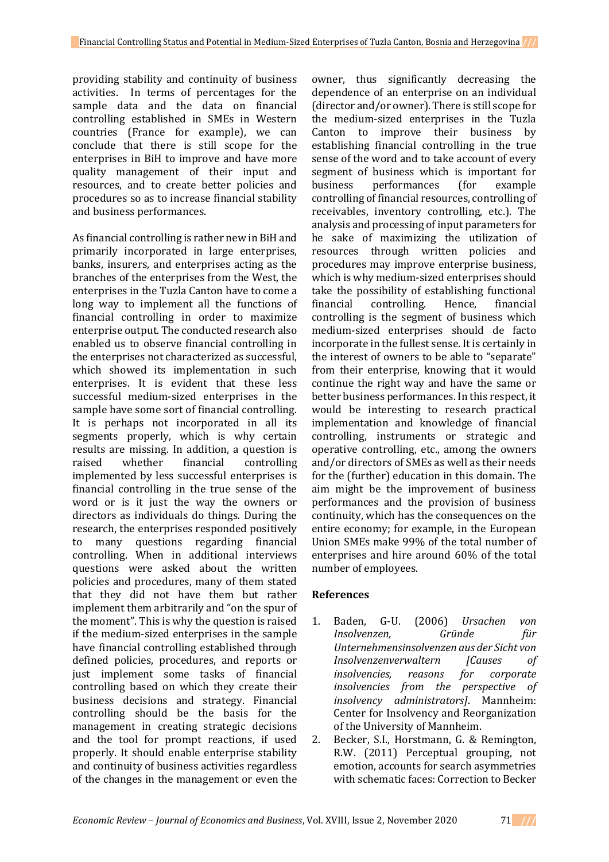providing stability and continuity of business activities. In terms of percentages for the sample data and the data on financial controlling established in SMEs in Western countries (France for example), we can conclude that there is still scope for the enterprises in BiH to improve and have more quality management of their input and resources, and to create better policies and procedures so as to increase financial stability and business performances.

As financial controlling is rather new in BiH and primarily incorporated in large enterprises, banks, insurers, and enterprises acting as the branches of the enterprises from the West, the enterprises in the Tuzla Canton have to come a long way to implement all the functions of financial controlling in order to maximize enterprise output. The conducted research also enabled us to observe financial controlling in the enterprises not characterized as successful, which showed its implementation in such enterprises. It is evident that these less successful medium-sized enterprises in the sample have some sort of financial controlling. It is perhaps not incorporated in all its segments properly, which is why certain results are missing. In addition, a question is raised whether financial controlling implemented by less successful enterprises is financial controlling in the true sense of the word or is it just the way the owners or directors as individuals do things. During the research, the enterprises responded positively to many questions regarding financial controlling. When in additional interviews questions were asked about the written policies and procedures, many of them stated that they did not have them but rather implement them arbitrarily and "on the spur of the moment". This is why the question is raised if the medium-sized enterprises in the sample have financial controlling established through defined policies, procedures, and reports or just implement some tasks of financial controlling based on which they create their business decisions and strategy. Financial controlling should be the basis for the management in creating strategic decisions and the tool for prompt reactions, if used properly. It should enable enterprise stability and continuity of business activities regardless of the changes in the management or even the

owner, thus significantly decreasing the dependence of an enterprise on an individual (director and/or owner). There is still scope for the medium-sized enterprises in the Tuzla Canton to improve their business by establishing financial controlling in the true sense of the word and to take account of every segment of business which is important for business performances (for example controlling of financial resources, controlling of receivables, inventory controlling, etc.). The analysis and processing of input parameters for he sake of maximizing the utilization of resources through written policies and procedures may improve enterprise business, which is why medium-sized enterprises should take the possibility of establishing functional financial controlling. Hence, financial controlling is the segment of business which medium-sized enterprises should de facto incorporate in the fullest sense. It is certainly in the interest of owners to be able to "separate" from their enterprise, knowing that it would continue the right way and have the same or better business performances. In this respect, it would be interesting to research practical implementation and knowledge of financial controlling, instruments or strategic and operative controlling, etc., among the owners and/or directors of SMEs as well as their needs for the (further) education in this domain. The aim might be the improvement of business performances and the provision of business continuity, which has the consequences on the entire economy; for example, in the European Union SMEs make 99% of the total number of enterprises and hire around 60% of the total number of employees.

### **References**

- 1. Baden, G-U. (2006) *Ursachen von Insolvenzen, Gründe für Unternehmensinsolvenzen aus der Sicht von Insolvenzenverwaltern [Causes of insolvencies, reasons for corporate insolvencies from the perspective of insolvency administrators]*. Mannheim: Center for Insolvency and Reorganization of the University of Mannheim.
- 2. Becker, S.I., Horstmann, G. & Remington, R.W. (2011) Perceptual grouping, not emotion, accounts for search asymmetries with schematic faces: Correction to Becker